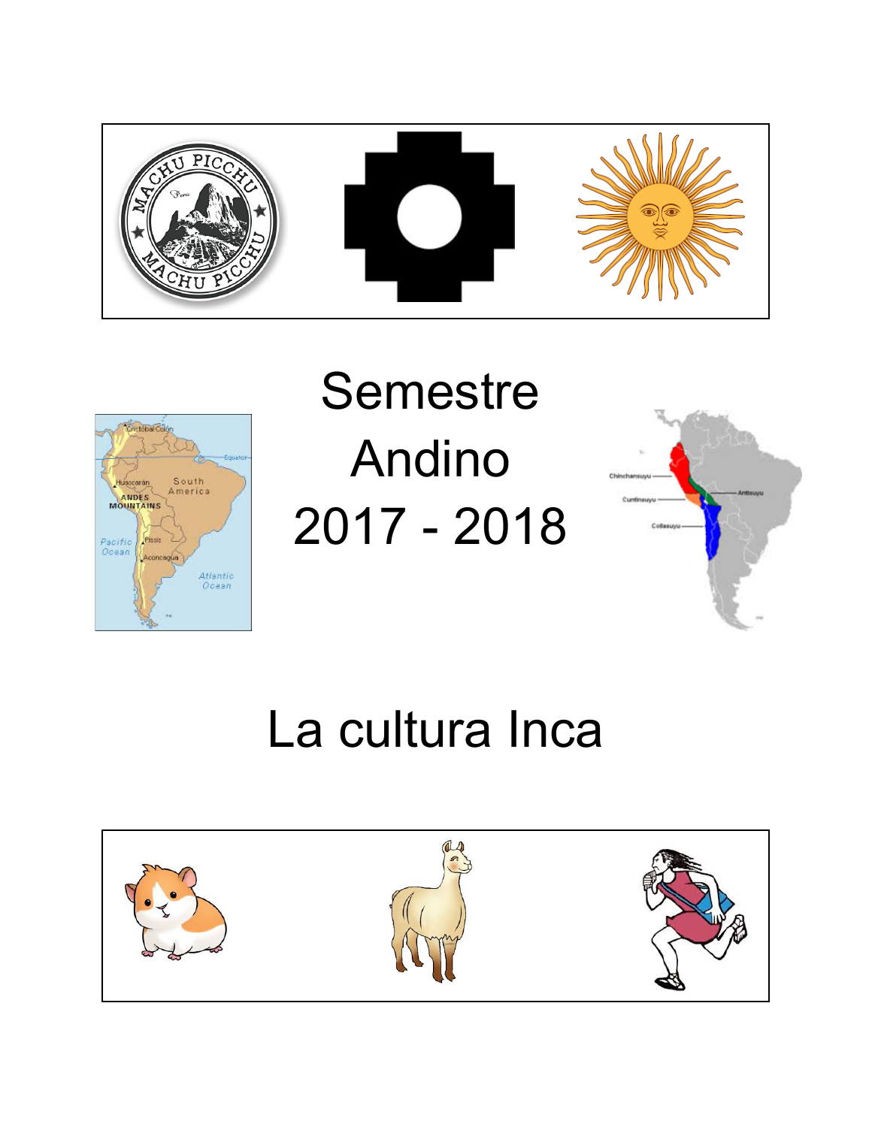



# Semestre Andino 2017 - 2018



# La cultura Inca

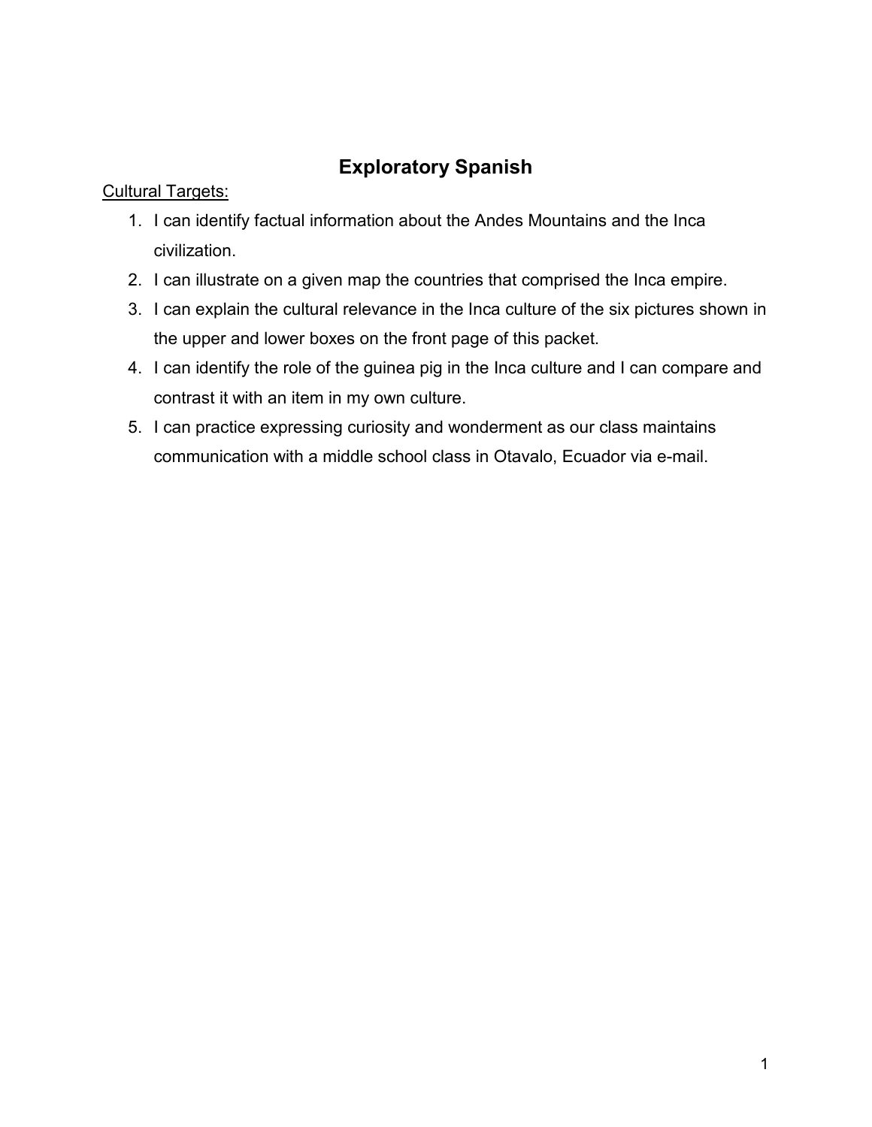# **Exploratory Spanish**

#### Cultural Targets:

- 1. I can identify factual information about the Andes Mountains and the Inca civilization.
- 2. I can illustrate on a given map the countries that comprised the Inca empire.
- 3. I can explain the cultural relevance in the Inca culture of the six pictures shown in the upper and lower boxes on the front page of this packet.
- 4. I can identify the role of the guinea pig in the Inca culture and I can compare and contrast it with an item in my own culture.
- 5. I can practice expressing curiosity and wonderment as our class maintains communication with a middle school class in Otavalo, Ecuador via e-mail.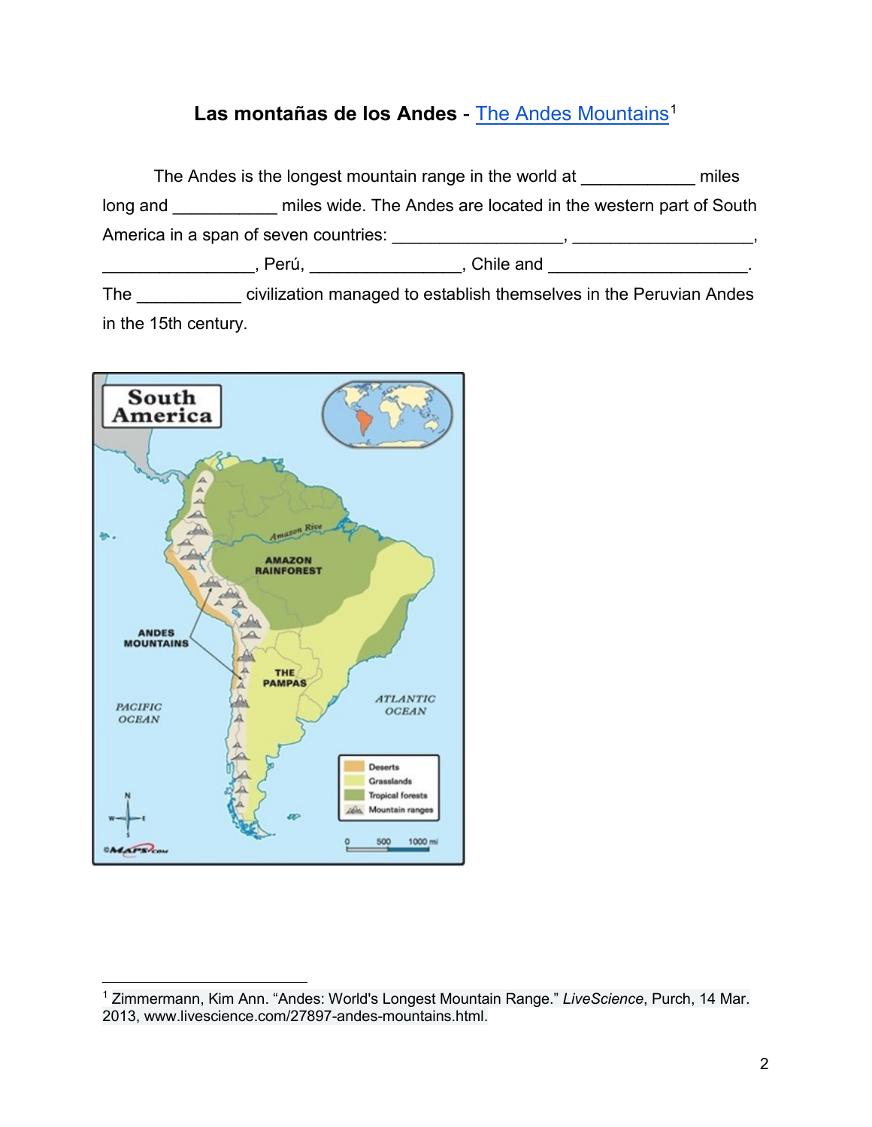#### Las montañas de los Andes - [The Andes Mountains](https://www.livescience.com/27897-andes-mountains.html)<sup>[1](#page-2-0)</sup>

The Andes is the longest mountain range in the world at \_\_\_\_\_\_\_\_\_\_\_\_ miles long and **Example 20** miles wide. The Andes are located in the western part of South America in a span of seven countries: \_\_\_\_\_\_\_\_\_\_\_\_\_\_\_\_\_\_, \_\_\_\_\_\_\_\_\_\_\_\_\_\_\_\_\_\_\_, \_\_\_\_\_\_\_\_\_\_\_\_\_\_\_\_\_\_\_\_, Perú, \_\_\_\_\_\_\_\_\_\_\_\_\_\_\_\_\_, Chile and \_\_\_\_\_\_\_\_\_\_\_\_\_\_\_\_\_\_\_\_\_\_\_ The **The civilization managed to establish themselves in the Peruvian Andes** in the 15th century.



<span id="page-2-0"></span> <sup>1</sup> Zimmermann, Kim Ann. "Andes: World's Longest Mountain Range." *LiveScience*, Purch, 14 Mar. 2013, www.livescience.com/27897-andes-mountains.html.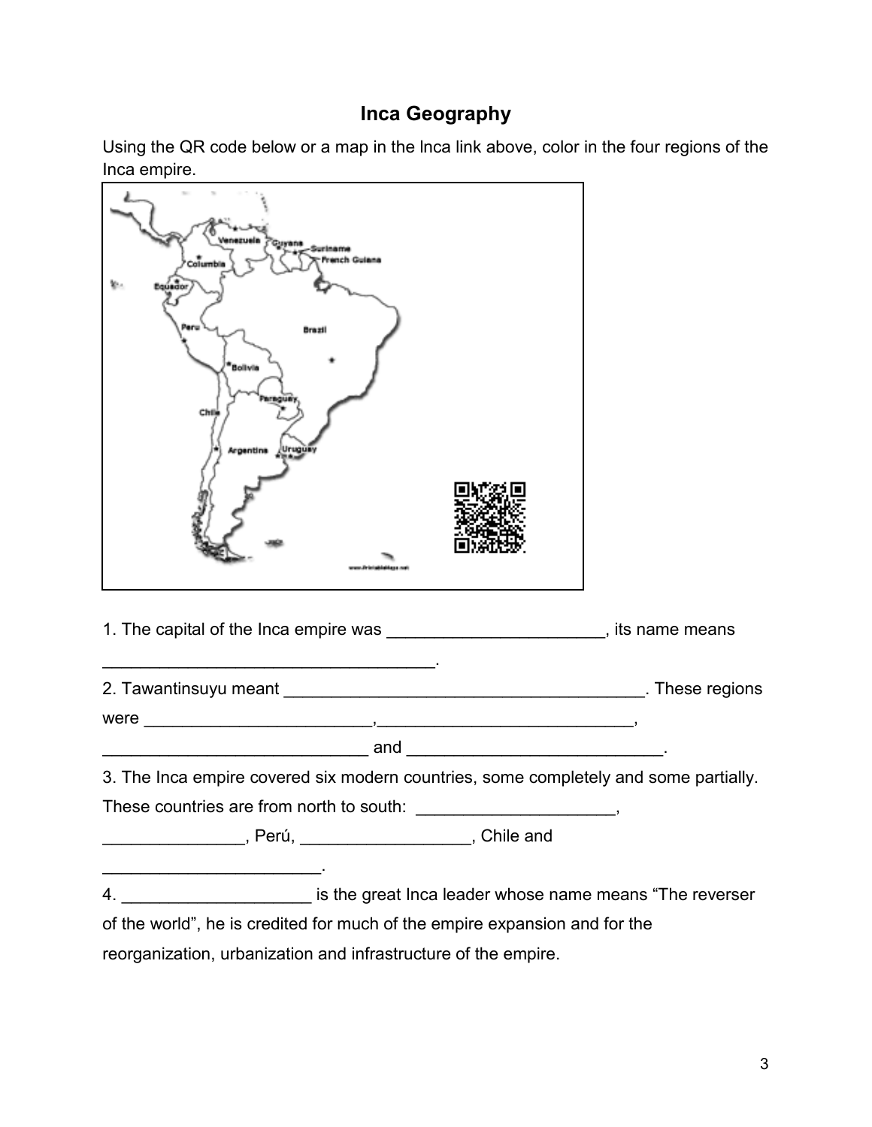#### **Inca Geography**

Using the QR code below or a map in the lnca link above, color in the four regions of the Inca empire.



\_\_\_\_\_\_\_\_\_\_\_\_\_\_\_, Perú, \_\_\_\_\_\_\_\_\_\_\_\_\_\_\_\_\_\_, Chile and

\_\_\_\_\_\_\_\_\_\_\_\_\_\_\_\_\_\_\_\_\_\_\_.

4. \_\_\_\_\_\_\_\_\_\_\_\_\_\_\_\_\_\_\_\_ is the great Inca leader whose name means "The reverser of the world", he is credited for much of the empire expansion and for the

reorganization, urbanization and infrastructure of the empire.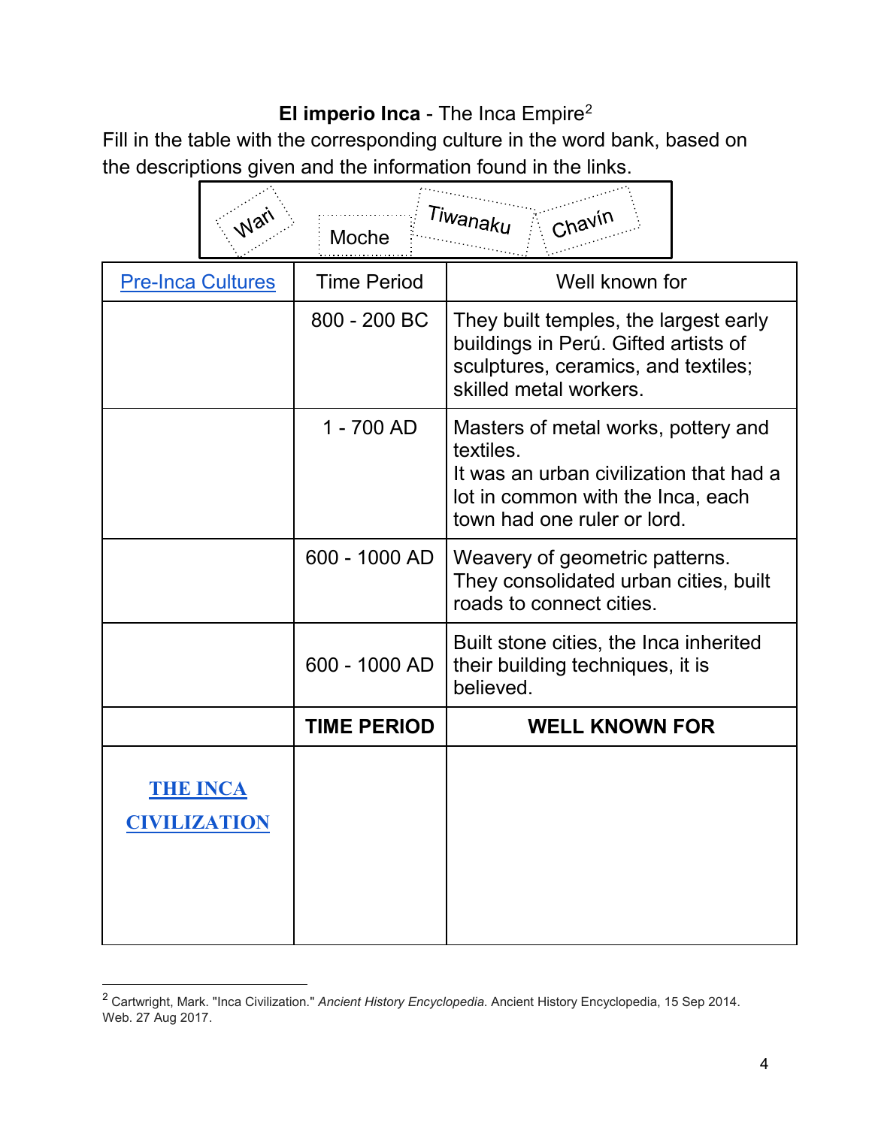# **El imperio Inca** - The Inca Empire[2](#page-4-0)

Fill in the table with the corresponding culture in the word bank, based on the descriptions given and the information found in the links.

|                                        |  | Moche              | Tiwanaku<br>Chavir                                                                                                                                              |  |
|----------------------------------------|--|--------------------|-----------------------------------------------------------------------------------------------------------------------------------------------------------------|--|
| <b>Pre-Inca Cultures</b>               |  | <b>Time Period</b> | Well known for                                                                                                                                                  |  |
|                                        |  | 800 - 200 BC       | They built temples, the largest early<br>buildings in Perú. Gifted artists of<br>sculptures, ceramics, and textiles;<br>skilled metal workers.                  |  |
|                                        |  | 1 - 700 AD         | Masters of metal works, pottery and<br>textiles.<br>It was an urban civilization that had a<br>lot in common with the Inca, each<br>town had one ruler or lord. |  |
|                                        |  | 600 - 1000 AD      | Weavery of geometric patterns.<br>They consolidated urban cities, built<br>roads to connect cities.                                                             |  |
|                                        |  | 600 - 1000 AD      | Built stone cities, the Inca inherited<br>their building techniques, it is<br>believed.                                                                         |  |
|                                        |  | <b>TIME PERIOD</b> | <b>WELL KNOWN FOR</b>                                                                                                                                           |  |
| <b>THE INCA</b><br><b>CIVILIZATION</b> |  |                    |                                                                                                                                                                 |  |

<span id="page-4-0"></span> <sup>2</sup> Cartwright, Mark. "Inca Civilization." *Ancient History Encyclopedia*. Ancient History Encyclopedia, 15 Sep 2014. Web. 27 Aug 2017.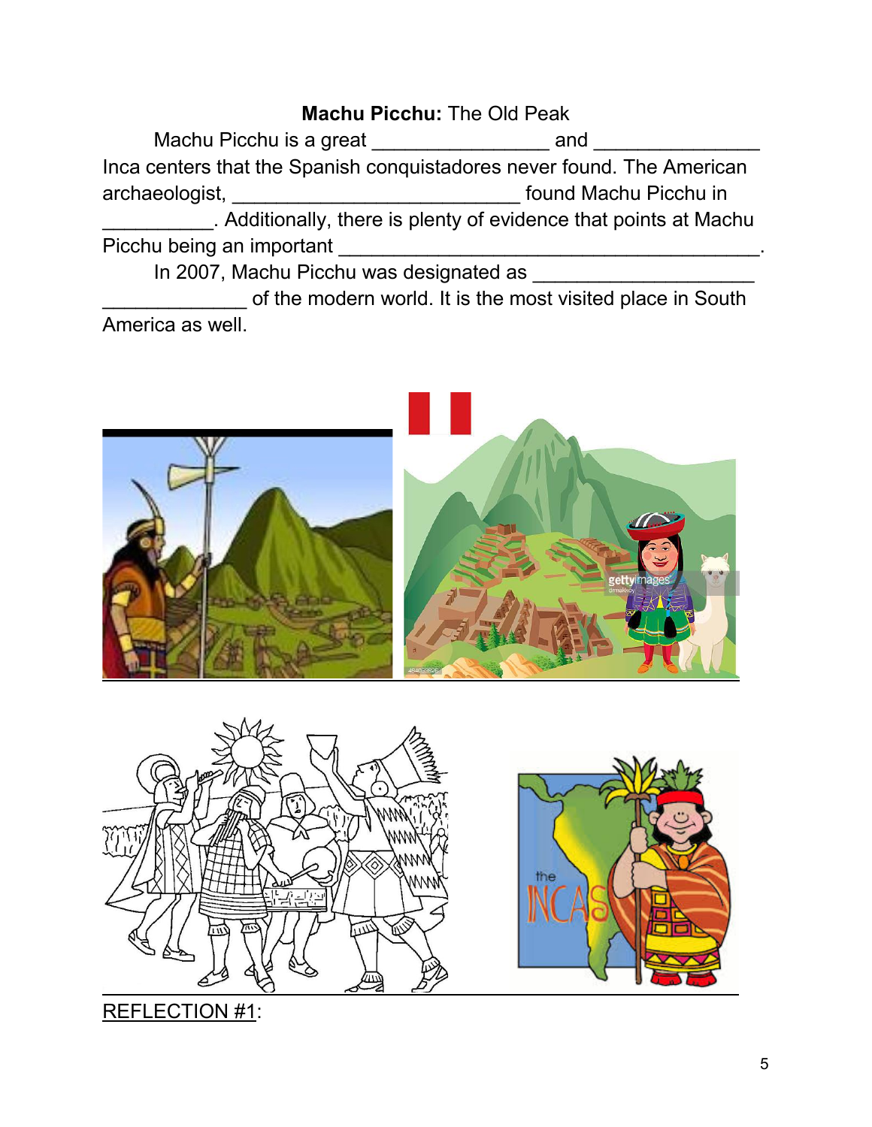### **Machu Picchu:** The Old Peak

Machu Picchu is a great \_\_\_\_\_\_\_\_\_\_\_\_\_\_\_\_\_\_\_\_ and \_\_\_\_ Inca centers that the Spanish conquistadores never found. The American archaeologist, \_\_\_\_\_\_\_\_\_\_\_\_\_\_\_\_\_\_\_\_\_\_\_\_\_\_ found Machu Picchu in \_\_\_\_\_\_\_\_\_\_. Additionally, there is plenty of evidence that points at Machu Picchu being an important \_\_\_\_\_\_\_\_\_\_\_\_\_\_\_\_\_\_\_\_\_\_\_\_\_\_\_\_\_\_\_\_\_\_\_\_\_\_.

In 2007, Machu Picchu was designated as \_\_\_\_\_\_\_\_\_\_\_\_\_\_\_\_\_\_\_\_\_\_\_\_

of the modern world. It is the most visited place in South America as well.





REFLECTION #1: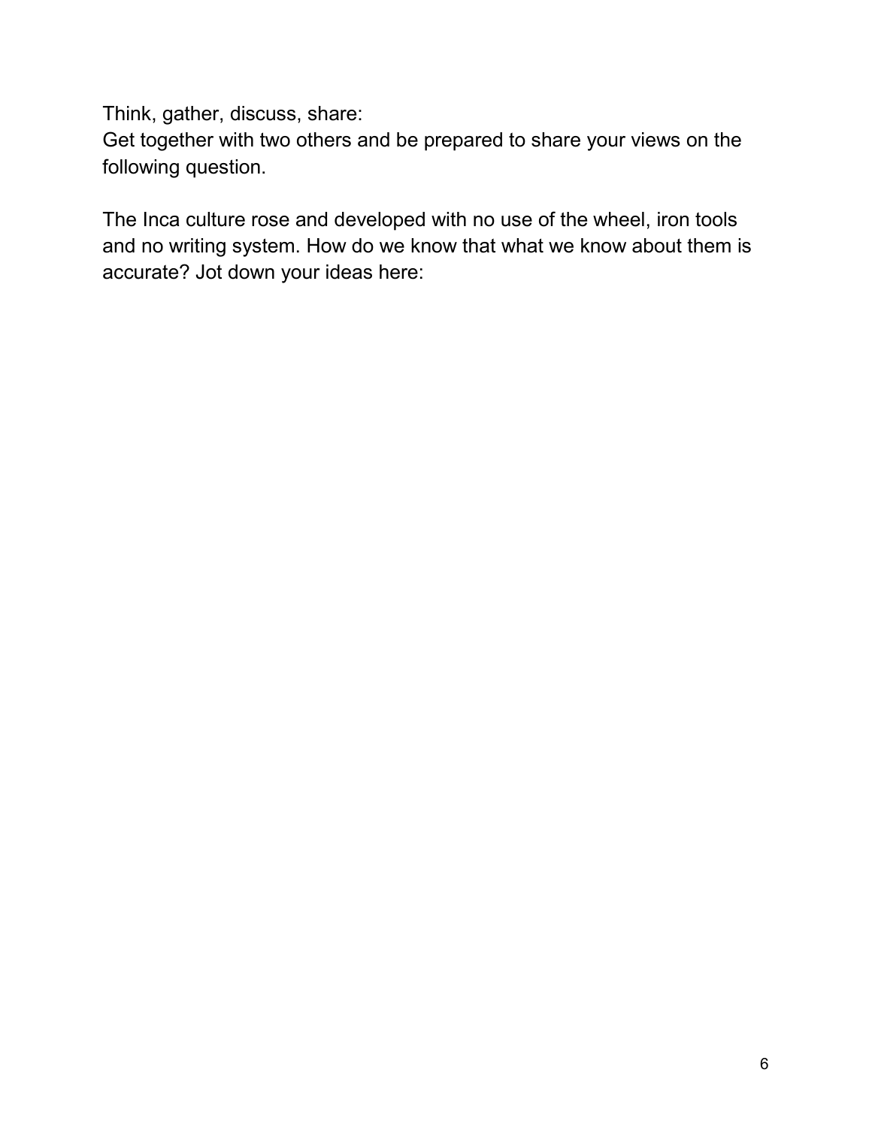Think, gather, discuss, share:

Get together with two others and be prepared to share your views on the following question.

The Inca culture rose and developed with no use of the wheel, iron tools and no writing system. How do we know that what we know about them is accurate? Jot down your ideas here: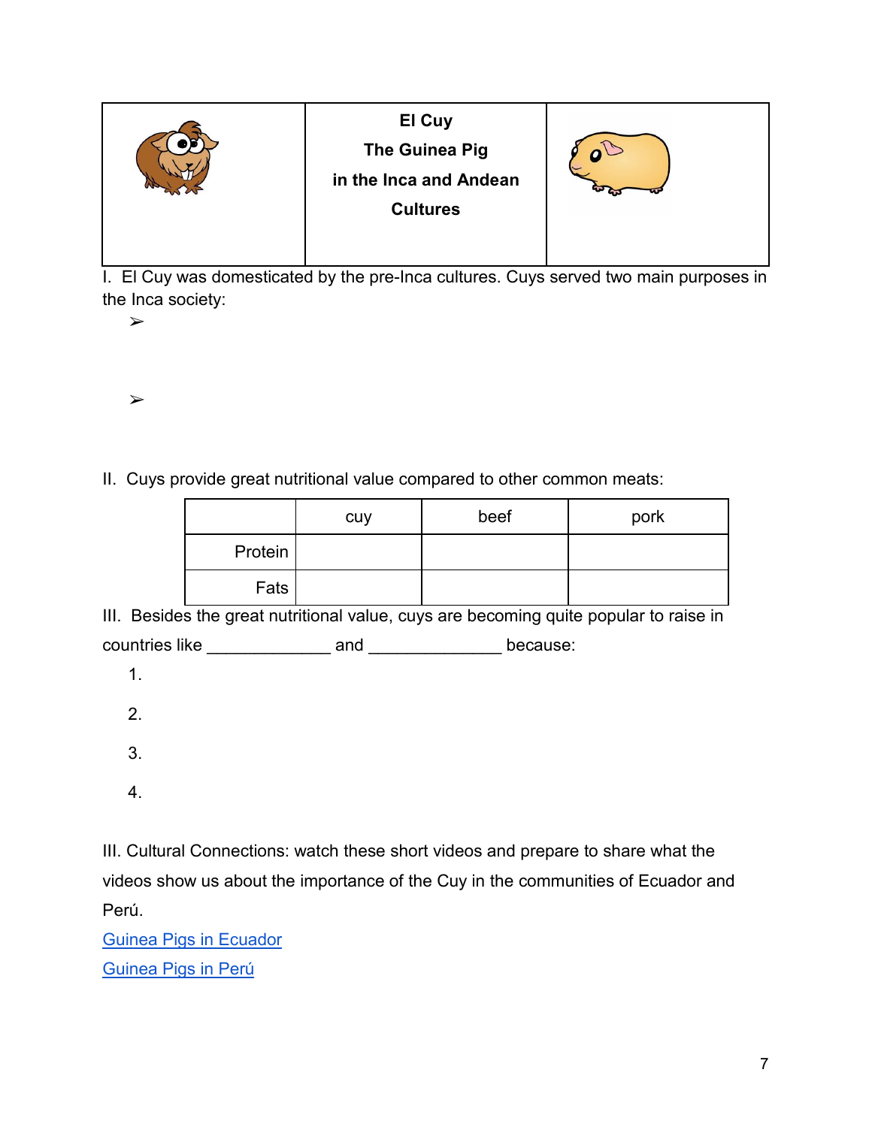| El Cuy<br><b>The Guinea Pig</b><br>in the Inca and Andean<br><b>Cultures</b> |  |
|------------------------------------------------------------------------------|--|
|                                                                              |  |

I. El Cuy was domesticated by the pre-Inca cultures. Cuys served two main purposes in the Inca society:

➢

➢

II. Cuys provide great nutritional value compared to other common meats:

|         | cuy | beef | pork |
|---------|-----|------|------|
| Protein |     |      |      |
| Fats    |     |      |      |

III. Besides the great nutritional value, cuys are becoming quite popular to raise in

countries like \_\_\_\_\_\_\_\_\_\_\_\_\_ and \_\_\_\_\_\_\_\_\_\_\_\_\_\_ because:

- 1.
- 2.
- 3.
- 4.

III. Cultural Connections: watch these short videos and prepare to share what the videos show us about the importance of the Cuy in the communities of Ecuador and Perú.

[Guinea Pigs in Ecuador](http://viewpure.com/6sx7wLIoPks?start=0&end=0) [Guinea Pigs in Perú](http://viewpure.com/l98aBSXYz7U?start=0&end=0)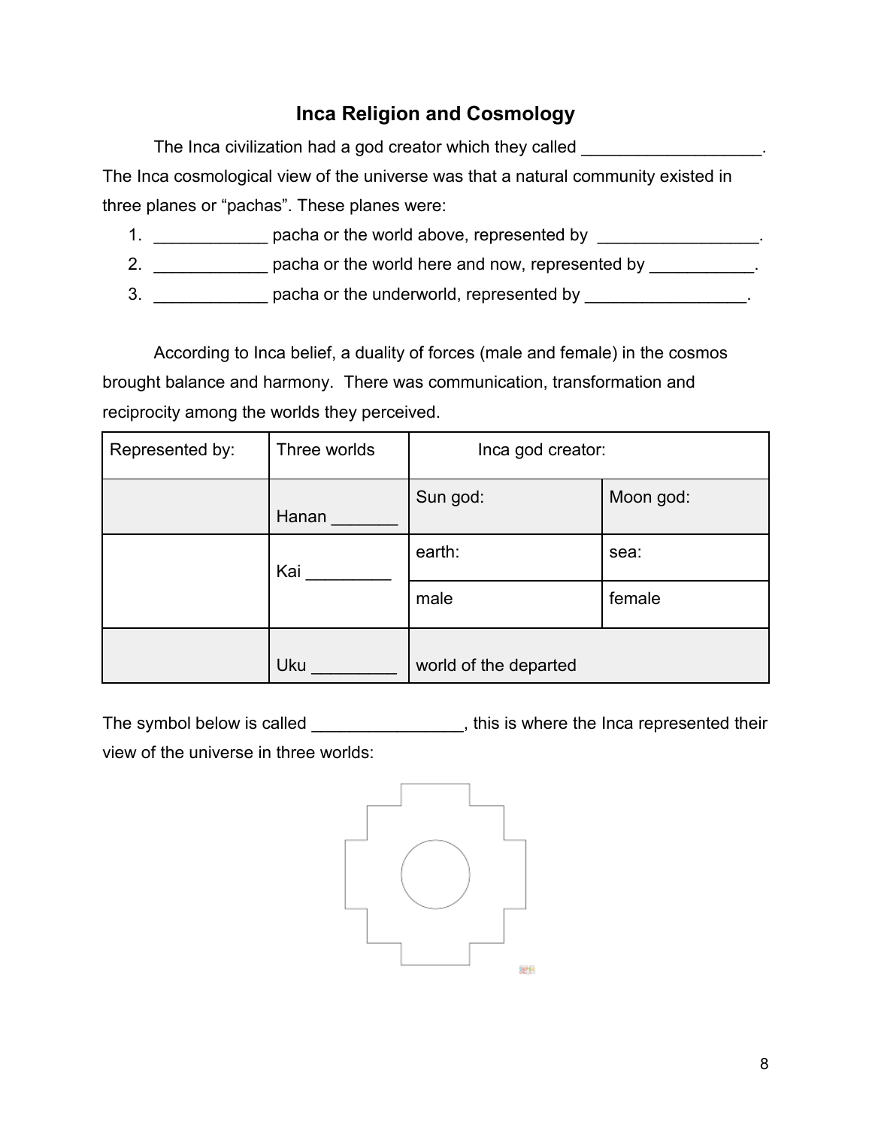# **Inca Religion and Cosmology**

| The Inca civilization had a god creator which they called                          |  |
|------------------------------------------------------------------------------------|--|
| The Inca cosmological view of the universe was that a natural community existed in |  |
| three planes or "pachas". These planes were:                                       |  |

- 1. \_\_\_\_\_\_\_\_\_\_\_\_\_\_\_ pacha or the world above, represented by \_\_\_\_\_\_\_\_\_\_\_\_\_\_\_\_\_\_.
- 2. \_\_\_\_\_\_\_\_\_\_\_\_\_\_ pacha or the world here and now, represented by \_\_\_\_\_\_\_\_\_\_\_.
- 3. \_\_\_\_\_\_\_\_\_\_\_\_\_\_\_ pacha or the underworld, represented by \_\_\_\_\_\_\_\_\_\_\_\_\_\_\_\_\_\_.

According to Inca belief, a duality of forces (male and female) in the cosmos brought balance and harmony. There was communication, transformation and reciprocity among the worlds they perceived.

| Represented by: | Three worlds | Inca god creator:     |           |
|-----------------|--------------|-----------------------|-----------|
|                 | Hanan        | Sun god:              | Moon god: |
|                 | Kai          | earth:                | sea:      |
|                 |              | male                  | female    |
|                 | Uku          | world of the departed |           |

The symbol below is called \_\_\_\_\_\_\_\_\_\_\_\_\_\_\_, this is where the Inca represented their view of the universe in three worlds:

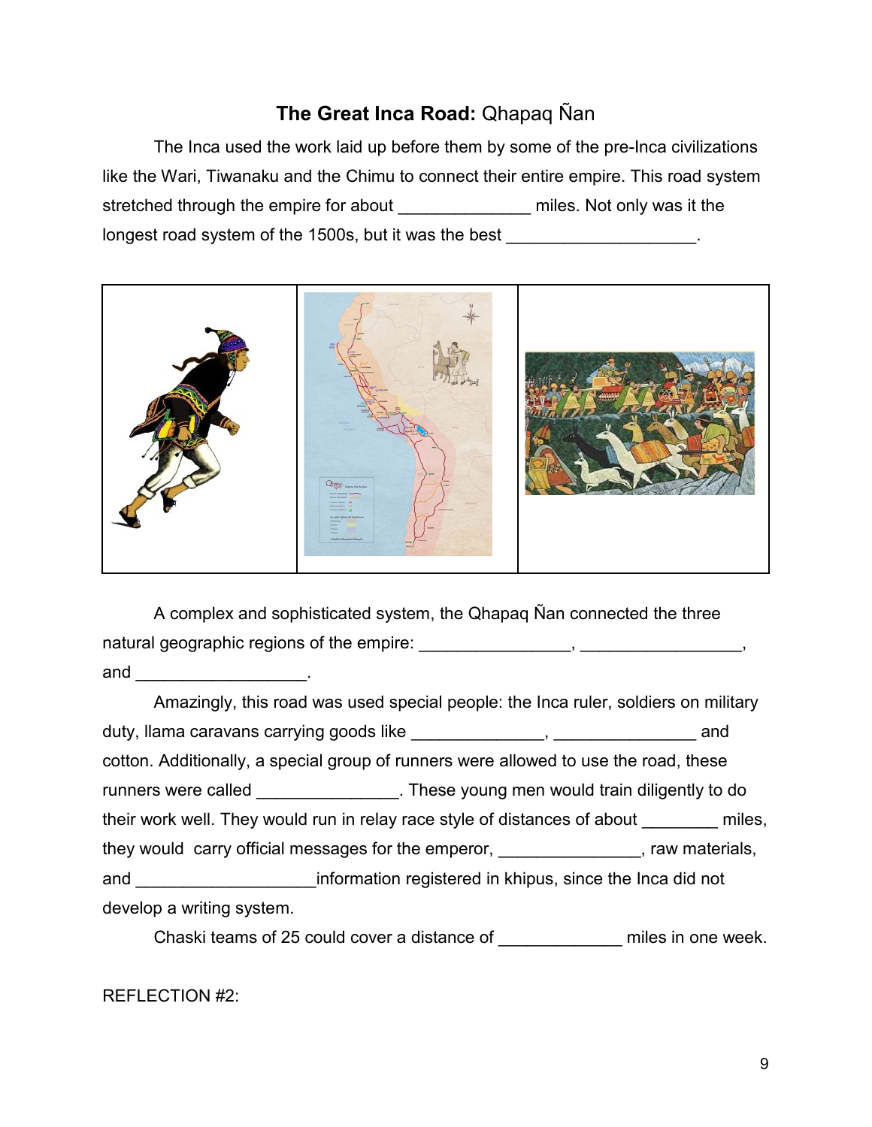## **The Great Inca Road:** Qhapaq Ñan

The Inca used the work laid up before them by some of the pre-Inca civilizations like the Wari, Tiwanaku and the Chimu to connect their entire empire. This road system stretched through the empire for about **the miles.** Not only was it the longest road system of the 1500s, but it was the best \_\_\_\_\_\_\_\_\_\_\_\_\_\_\_\_\_\_\_\_.



A complex and sophisticated system, the Qhapaq Ñan connected the three natural geographic regions of the empire: \_\_\_\_\_\_\_\_\_\_\_\_\_\_\_, \_\_\_\_\_\_\_\_\_\_, and \_\_\_\_\_\_\_\_\_\_\_\_\_\_\_\_\_\_\_\_\_\_\_\_\_\_\_.

Amazingly, this road was used special people: the Inca ruler, soldiers on military duty, llama caravans carrying goods like \_\_\_\_\_\_\_\_\_\_\_\_\_\_, \_\_\_\_\_\_\_\_\_\_\_\_\_\_\_ and cotton. Additionally, a special group of runners were allowed to use the road, these runners were called \_\_\_\_\_\_\_\_\_\_\_\_\_\_\_\_. These young men would train diligently to do their work well. They would run in relay race style of distances of about miles, they would carry official messages for the emperor, the unit of the would carry official messages for the emperor, and \_\_\_\_\_\_\_\_\_\_\_\_\_\_\_\_\_\_\_information registered in khipus, since the Inca did not develop a writing system.

Chaski teams of 25 could cover a distance of \_\_\_\_\_\_\_\_\_\_\_\_\_ miles in one week.

REFLECTION #2: